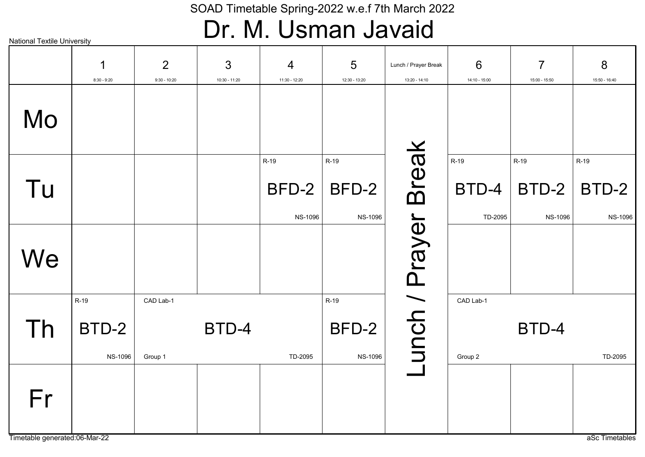### Dr. M. Usman Javaid

|                                     | 1              | 2              | 3             | $\overline{4}$ | 5              | Lunch / Prayer Break | 6             | $\overline{7}$ | 8              |
|-------------------------------------|----------------|----------------|---------------|----------------|----------------|----------------------|---------------|----------------|----------------|
|                                     | $8:30 - 9:20$  | $9:30 - 10:20$ | 10:30 - 11:20 | 11:30 - 12:20  | 12:30 - 13:20  | 13:20 - 14:10        | 14:10 - 15:00 | 15:00 - 15:50  | 15:50 - 16:40  |
| Mo                                  |                |                |               |                |                |                      |               |                |                |
|                                     |                |                |               | R-19           | R-19           |                      | R-19          | R-19           | R-19           |
| Tu                                  |                |                |               | BFD-2          | BFD-2          |                      | BTD-4         | BTD-2          | BTD-2          |
|                                     |                |                |               | <b>NS-1096</b> | <b>NS-1096</b> |                      | TD-2095       | <b>NS-1096</b> | <b>NS-1096</b> |
| We                                  |                |                |               |                |                | unch / Prayer Break  |               |                |                |
|                                     | R-19           | CAD Lab-1      |               |                | R-19           |                      | CAD Lab-1     |                |                |
| Th                                  | BTD-2          |                | BTD-4         |                | BFD-2          |                      |               | BTD-4          |                |
|                                     | <b>NS-1096</b> | Group 1        |               | TD-2095        | <b>NS-1096</b> |                      | Group 2       |                | TD-2095        |
| Fr<br>Timetable generated:06-Mar-22 |                |                |               |                |                |                      |               |                | aSc Timetables |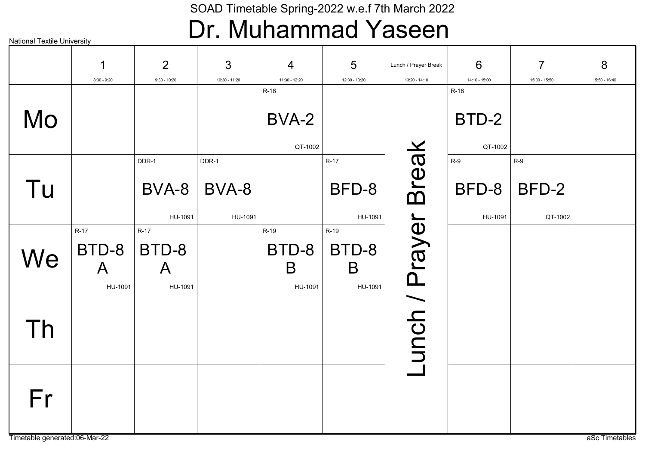### Dr. Muhammad Yaseen

|                                     | 1<br>$8:30 - 9:20$                              | $\overline{2}$<br>$9:30 - 10:20$           | 3<br>10:30 - 11:20        | 4<br>11:30 - 12:20            | $5\phantom{1}$<br>12:30 - 13:20 | Lunch / Prayer Break<br>13:20 - 14:10 | 6<br>14:10 - 15:00        | $\overline{7}$<br>15:00 - 15:50 | 8<br>15:50 - 16:40 |
|-------------------------------------|-------------------------------------------------|--------------------------------------------|---------------------------|-------------------------------|---------------------------------|---------------------------------------|---------------------------|---------------------------------|--------------------|
| Mo                                  |                                                 |                                            |                           | R-18<br>BVA-2<br>QT-1002      |                                 |                                       | R-18<br>BTD-2<br>QT-1002  |                                 |                    |
| Tu                                  |                                                 | DDR-1<br>BVA-8<br>HU-1091                  | DDR-1<br>BVA-8<br>HU-1091 |                               | $R-17$<br>BFD-8<br>HU-1091      |                                       | $R-9$<br>BFD-8<br>HU-1091 | $R-9$<br>BFD-2<br>QT-1002       |                    |
| We                                  | <b>R-17</b><br>BTD-8<br>$\mathsf{A}$<br>HU-1091 | $R-17$<br>BTD-8<br>$\mathsf{A}$<br>HU-1091 |                           | R-19<br>BTD-8<br>B<br>HU-1091 | R-19<br>BTD-8<br>B<br>HU-1091   | unch / Prayer Break                   |                           |                                 |                    |
| Th                                  |                                                 |                                            |                           |                               |                                 |                                       |                           |                                 |                    |
| Fr<br>Timetable generated:06-Mar-22 |                                                 |                                            |                           |                               |                                 |                                       |                           |                                 | aSc Timetables     |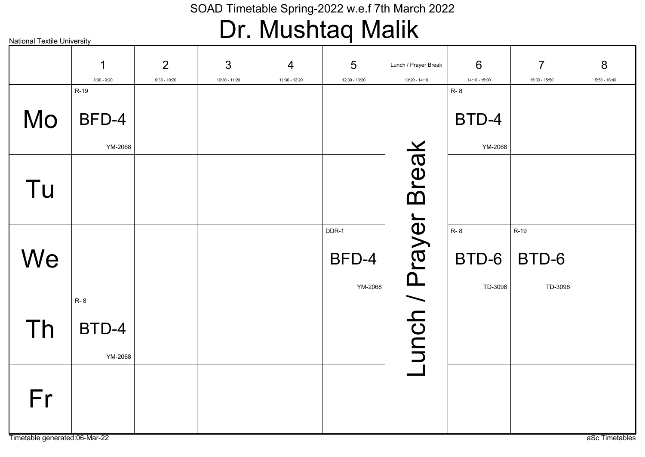### Dr. Mushtaq Malik

2 3 5 6 7 8 4 1 Lunch / Prayer Break 8:30 - 9:20 9:30 - 10:20 10:30 - 11:20 11:30 - 12:20 12:30 - 13:20 13:20 - 14:10 14:10 - 15:00 15:00 - 15:50 15:50 - 16:40 R-19 R- 8 Mo BFD-4 BTD-4 -unch / Prayer Break Lunch / Prayer Break YM-2068 YM-2068 Tu R- 8 DDR-1 R-19 **We** BFD-4 BTD-6 BTD-6 YM-2068 TD-3098 TD-3098 R- 8 Th BTD-4 YM-2068 Fr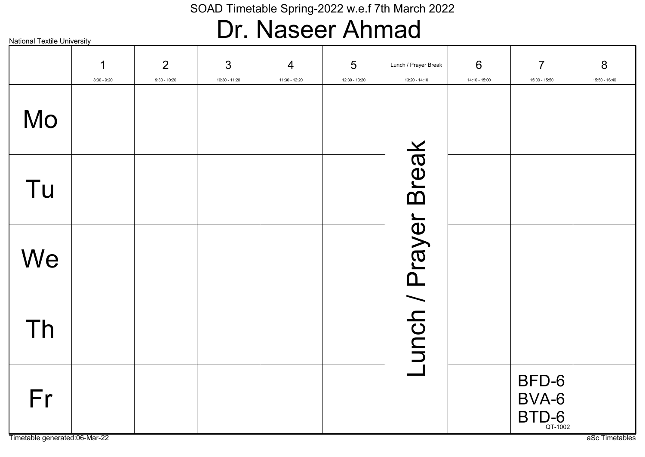### Dr. Naseer Ahmad

|    | 1<br>$8:30 - 9:20$ | $\overline{2}$<br>$9:30 - 10:20$ | 3<br>10:30 - 11:20 | $\overline{4}$<br>11:30 - 12:20 | 5<br>12:30 - 13:20 | Lunch / Prayer Break<br>13:20 - 14:10 | $6\phantom{1}6$<br>14:10 - 15:00 | $\overline{7}$<br>15:00 - 15:50                            | 8<br>15:50 - 16:40 |
|----|--------------------|----------------------------------|--------------------|---------------------------------|--------------------|---------------------------------------|----------------------------------|------------------------------------------------------------|--------------------|
| Mo |                    |                                  |                    |                                 |                    |                                       |                                  |                                                            |                    |
| Tu |                    |                                  |                    |                                 |                    |                                       |                                  |                                                            |                    |
| We |                    |                                  |                    |                                 |                    |                                       |                                  |                                                            |                    |
| Th |                    |                                  |                    |                                 |                    | -unch / Prayer Break                  |                                  |                                                            |                    |
| Fr |                    |                                  |                    |                                 |                    |                                       |                                  | BFD-6<br>BVA-6<br>$\mathsf{BTD}_{\mathsf{QT}\text{-}1002}$ |                    |

Timetable generated:06-Mar-22 as and the contract of the contract of the contract of the contract of the contract of the contract of the contract of the contract of the contract of the contract of the contract of the contr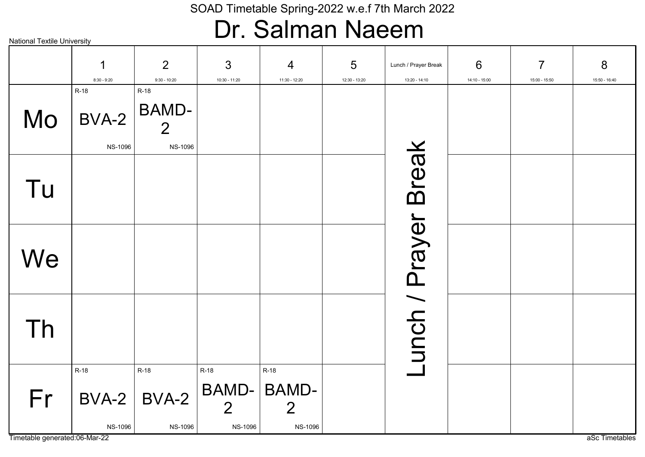### Dr. Salman Naeem

|    | 1<br>$8:30 - 9:20$              | 2<br>$9:30 - 10:20$                                      | $\mathfrak{S}$<br>10:30 - 11:20                          | $\overline{4}$<br>11:30 - 12:20                                 | $5\overline{)}$<br>12:30 - 13:20 | Lunch / Prayer Break<br>13:20 - 14:10 | 6<br>14:10 - 15:00 | $\overline{7}$<br>15:00 - 15:50 | 8<br>15:50 - 16:40 |
|----|---------------------------------|----------------------------------------------------------|----------------------------------------------------------|-----------------------------------------------------------------|----------------------------------|---------------------------------------|--------------------|---------------------------------|--------------------|
| Mo | R-18<br>BVA-2<br><b>NS-1096</b> | R-18<br><b>BAMD-</b><br>$\overline{2}$<br><b>NS-1096</b> |                                                          |                                                                 |                                  |                                       |                    |                                 |                    |
| Tu |                                 |                                                          |                                                          |                                                                 |                                  |                                       |                    |                                 |                    |
| We |                                 |                                                          |                                                          |                                                                 |                                  |                                       |                    |                                 |                    |
| Th |                                 |                                                          |                                                          |                                                                 |                                  | unch / Prayer Break                   |                    |                                 |                    |
| Fr | $R-18$<br><b>NS-1096</b>        | $R-18$<br>$BVA-2$ BVA-2<br><b>NS-1096</b>                | <b>R-18</b><br>BAMD-<br>$\overline{2}$<br><b>NS-1096</b> | <b>R-18</b><br><b>BAMD-</b><br>$\overline{2}$<br><b>NS-1096</b> |                                  |                                       |                    |                                 |                    |

Timetable generated:06-Mar-22 as a Sc Timetables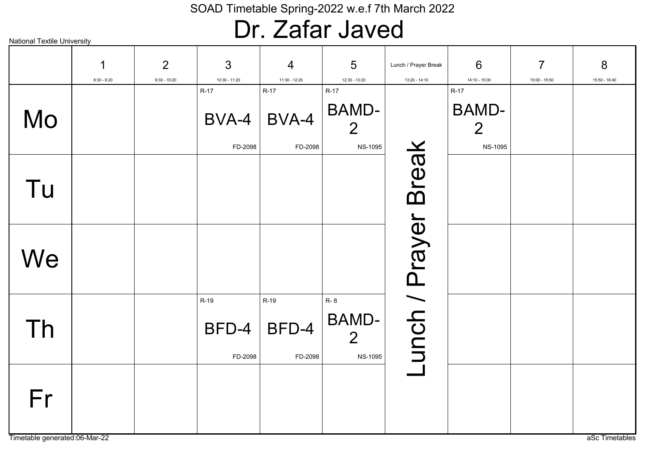### Dr. Zafar Javed

| <b>National Textile University</b>  |                    |                                  |                          |                                 |                                                  |                                       |                                                  |                                 |                    |
|-------------------------------------|--------------------|----------------------------------|--------------------------|---------------------------------|--------------------------------------------------|---------------------------------------|--------------------------------------------------|---------------------------------|--------------------|
|                                     | 1<br>$8:30 - 9:20$ | $\overline{2}$<br>$9:30 - 10:20$ | 3<br>10:30 - 11:20       | $\overline{4}$<br>11:30 - 12:20 | 5<br>12:30 - 13:20                               | Lunch / Prayer Break<br>13:20 - 14:10 | 6<br>14:10 - 15:00                               | $\overline{7}$<br>15:00 - 15:50 | 8<br>15:50 - 16:40 |
|                                     |                    |                                  | $R-17$                   | $R-17$                          | $R-17$                                           |                                       | $R-17$                                           |                                 |                    |
| Mo                                  |                    |                                  | BVA-4<br>FD-2098         | BVA-4<br>FD-2098                | <b>BAMD-</b><br>$\overline{2}$<br><b>NS-1095</b> |                                       | <b>BAMD-</b><br>$\overline{2}$<br><b>NS-1095</b> |                                 |                    |
| Tu                                  |                    |                                  |                          |                                 |                                                  | <b>Break</b>                          |                                                  |                                 |                    |
| We                                  |                    |                                  |                          |                                 |                                                  |                                       |                                                  |                                 |                    |
| Th                                  |                    |                                  | R-19<br>BFD-4<br>FD-2098 | R-19<br>BFD-4<br>FD-2098        | R-8<br>BAMD-<br>$\overline{2}$<br><b>NS-1095</b> | unch / Prayer                         |                                                  |                                 |                    |
| Fr<br>Timetable generated:06-Mar-22 |                    |                                  |                          |                                 |                                                  |                                       |                                                  |                                 | aSc Timetables     |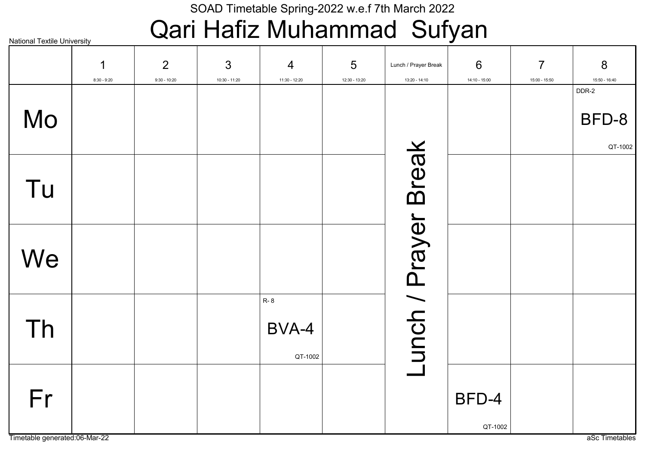# Qari Hafiz Muhammad Sufyan

National Textile University

|    | $\mathbf 1$<br>$8:30 - 9:20$ | 2<br>$9:30 - 10:20$ | $\mathfrak{S}$<br>10:30 - 11:20 | $\overline{4}$<br>11:30 - 12:20 | 5<br>12:30 - 13:20 | Lunch / Prayer Break<br>13:20 - 14:10 | 6<br>14:10 - 15:00 | $\overline{7}$<br>15:00 - 15:50 | 8<br>15:50 - 16:40        |
|----|------------------------------|---------------------|---------------------------------|---------------------------------|--------------------|---------------------------------------|--------------------|---------------------------------|---------------------------|
| Mo |                              |                     |                                 |                                 |                    |                                       |                    |                                 | DDR-2<br>BFD-8<br>QT-1002 |
| Tu |                              |                     |                                 |                                 |                    |                                       |                    |                                 |                           |
| We |                              |                     |                                 |                                 |                    |                                       |                    |                                 |                           |
| Th |                              |                     |                                 | R-8<br>BVA-4<br>QT-1002         |                    | Lunch / Prayer Break                  |                    |                                 |                           |
| Fr |                              |                     |                                 |                                 |                    |                                       | BFD-4<br>QT-1002   |                                 |                           |

Timetable generated:06-Mar-22 as a Sc Timetables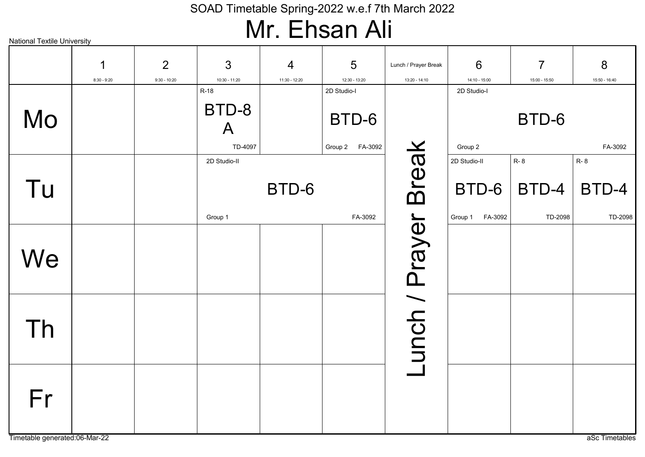### Mr. Ehsan Ali

| National Textile University |                    |                     |                                 |                                 | IVII I III IVVII <i>I</i> VII           |                                       |                                             |                                 |                                |
|-----------------------------|--------------------|---------------------|---------------------------------|---------------------------------|-----------------------------------------|---------------------------------------|---------------------------------------------|---------------------------------|--------------------------------|
|                             | 1<br>$8:30 - 9:20$ | 2<br>$9:30 - 10:20$ | 3<br>$10:30 - 11:20$            | $\overline{4}$<br>11:30 - 12:20 | $5\phantom{1}$<br>12:30 - 13:20         | Lunch / Prayer Break<br>13:20 - 14:10 | 6<br>14:10 - 15:00                          | $\overline{7}$<br>15:00 - 15:50 | 8<br>15:50 - 16:40             |
| Mo                          |                    |                     | $R-18$<br>BTD-8<br>A<br>TD-4097 |                                 | 2D Studio-I<br>BTD-6<br>Group 2 FA-3092 |                                       | 2D Studio-I<br>Group 2                      | BTD-6                           | FA-3092                        |
| Tu                          |                    |                     | 2D Studio-II<br>Group 1         | BTD-6                           | FA-3092                                 |                                       | 2D Studio-II<br>BTD-6<br>FA-3092<br>Group 1 | <b>R-8</b><br>BTD-4<br>TD-2098  | <b>R-8</b><br>BTD-4<br>TD-2098 |
| We                          |                    |                     |                                 |                                 |                                         | Lunch / Prayer Break                  |                                             |                                 |                                |
| Th                          |                    |                     |                                 |                                 |                                         |                                       |                                             |                                 |                                |
| Fr                          |                    |                     |                                 |                                 |                                         |                                       |                                             |                                 |                                |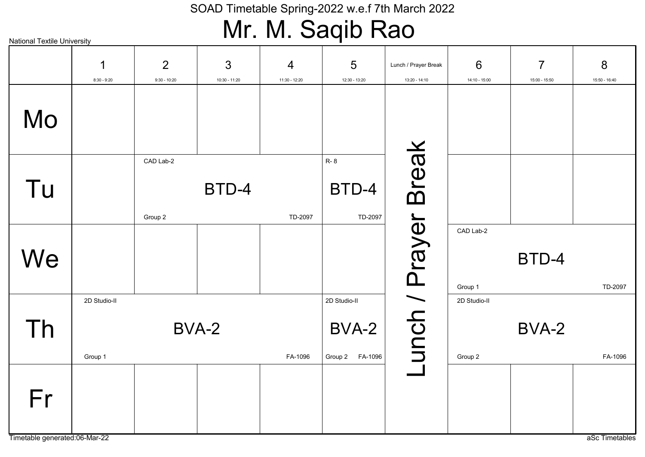# Mr. M. Saqib Rao

| <b>National Textile University</b>  |                         |                                  | .                               |                    |                                          |                                       |                         |                                 |                    |
|-------------------------------------|-------------------------|----------------------------------|---------------------------------|--------------------|------------------------------------------|---------------------------------------|-------------------------|---------------------------------|--------------------|
|                                     | 1<br>$8:30 - 9:20$      | $\overline{2}$<br>$9:30 - 10:20$ | $\mathfrak{S}$<br>10:30 - 11:20 | 4<br>11:30 - 12:20 | 5<br>12:30 - 13:20                       | Lunch / Prayer Break<br>13:20 - 14:10 | 6<br>14:10 - 15:00      | $\overline{7}$<br>15:00 - 15:50 | 8<br>15:50 - 16:40 |
| Mo                                  |                         |                                  |                                 |                    |                                          |                                       |                         |                                 |                    |
| Tu                                  |                         | CAD Lab-2<br>Group 2             | BTD-4                           | TD-2097            | <b>R-8</b><br>BTD-4<br>TD-2097           | <b>Break</b>                          |                         |                                 |                    |
| We                                  |                         |                                  |                                 |                    |                                          |                                       | CAD Lab-2<br>Group 1    | BTD-4                           | TD-2097            |
| Th                                  | 2D Studio-II<br>Group 1 |                                  | BVA-2                           | FA-1096            | 2D Studio-II<br>BVA-2<br>Group 2 FA-1096 | unch / Prayer                         | 2D Studio-II<br>Group 2 | BVA-2                           | FA-1096            |
| Fr<br>Timetable generated:06-Mar-22 |                         |                                  |                                 |                    |                                          |                                       |                         |                                 |                    |
|                                     |                         |                                  |                                 |                    |                                          |                                       |                         |                                 | aSc Timetables     |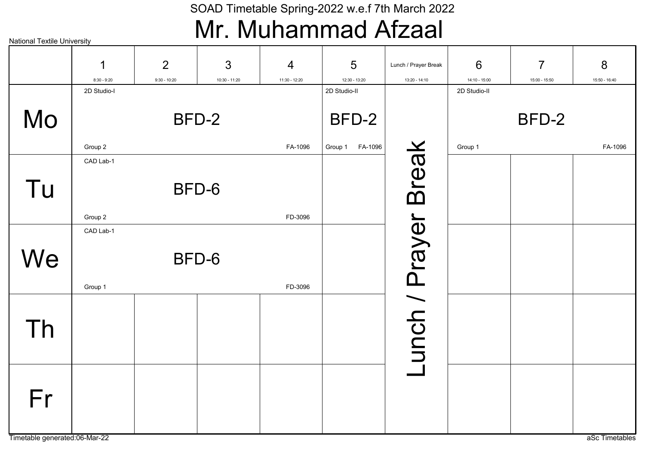### Mr. Muhammad Afzaal

| <b>National Textile University</b> |                      |                     |                                 |                    |                                  |                                       |                    |                                 |                    |
|------------------------------------|----------------------|---------------------|---------------------------------|--------------------|----------------------------------|---------------------------------------|--------------------|---------------------------------|--------------------|
|                                    | 1<br>$8:30 - 9:20$   | 2<br>$9:30 - 10:20$ | $\mathfrak{S}$<br>10:30 - 11:20 | 4<br>11:30 - 12:20 | $5\overline{)}$<br>12:30 - 13:20 | Lunch / Prayer Break<br>13:20 - 14:10 | 6<br>14:10 - 15:00 | $\overline{7}$<br>15:00 - 15:50 | 8<br>15:50 - 16:40 |
| Mo                                 | 2D Studio-I          |                     | BFD-2                           |                    | 2D Studio-II<br>BFD-2            |                                       | 2D Studio-II       | BFD-2                           |                    |
|                                    | Group 2<br>CAD Lab-1 |                     |                                 | FA-1096            | FA-1096<br>Group 1               |                                       | Group 1            |                                 | FA-1096            |
| Tu                                 |                      |                     | BFD-6                           |                    |                                  |                                       |                    |                                 |                    |
|                                    | Group 2<br>CAD Lab-1 |                     |                                 | FD-3096            |                                  |                                       |                    |                                 |                    |
| We                                 | Group 1              |                     | BFD-6                           | FD-3096            |                                  |                                       |                    |                                 |                    |
| Th                                 |                      |                     |                                 |                    |                                  | -unch / Prayer Break                  |                    |                                 |                    |
| Fr                                 |                      |                     |                                 |                    |                                  |                                       |                    |                                 |                    |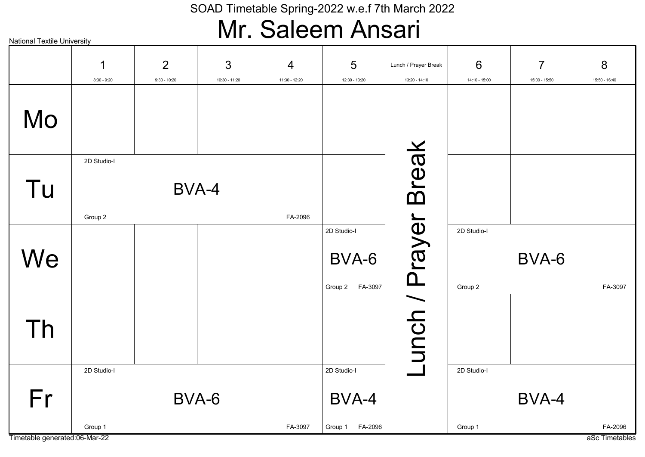### Mr. Saleem Ansari

| <b>National Textile University</b> |                        |                                  |                    |                    | .                                          |                                       |                        |                                 |                    |
|------------------------------------|------------------------|----------------------------------|--------------------|--------------------|--------------------------------------------|---------------------------------------|------------------------|---------------------------------|--------------------|
|                                    | 1<br>$8:30 - 9:20$     | $\overline{2}$<br>$9:30 - 10:20$ | 3<br>10:30 - 11:20 | 4<br>11:30 - 12:20 | 5<br>12:30 - 13:20                         | Lunch / Prayer Break<br>13:20 - 14:10 | 6<br>14:10 - 15:00     | $\overline{7}$<br>15:00 - 15:50 | 8<br>15:50 - 16:40 |
| Mo                                 |                        |                                  |                    |                    |                                            |                                       |                        |                                 |                    |
| Tu                                 | 2D Studio-I<br>Group 2 | BVA-4                            |                    | FA-2096            |                                            |                                       |                        |                                 |                    |
| We                                 |                        |                                  |                    |                    | 2D Studio-I<br>BVA-6<br>Group 2    FA-3097 |                                       | 2D Studio-I<br>Group 2 | BVA-6                           | FA-3097            |
| Th                                 |                        |                                  |                    |                    |                                            | Lunch / Prayer Break                  |                        |                                 |                    |
| Fr                                 | 2D Studio-I            | BVA-6                            |                    |                    | 2D Studio-I<br>BVA-4                       |                                       | 2D Studio-I            | BVA-4                           |                    |
|                                    | Group 1                |                                  |                    | FA-3097            | Group 1 FA-2096                            |                                       | Group 1                |                                 | FA-2096            |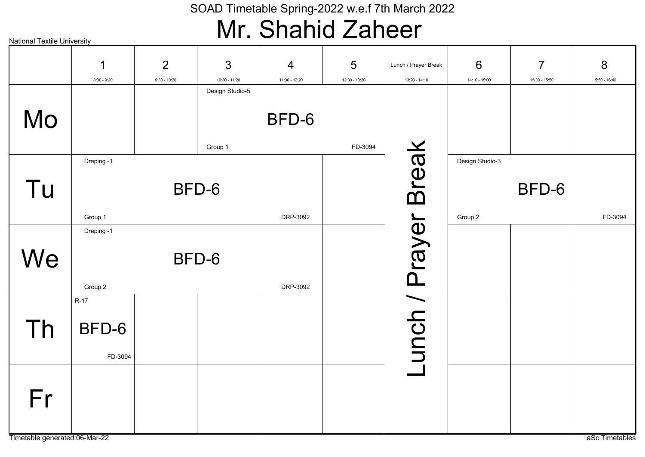### Mr. Shahid Zaheer

| <b>National Textile University</b> |               |                |                 |                |               |                      |                 |                |                |
|------------------------------------|---------------|----------------|-----------------|----------------|---------------|----------------------|-----------------|----------------|----------------|
|                                    | 1             | $\overline{2}$ | 3               | $\overline{4}$ | 5             | Lunch / Prayer Break | 6               | $\overline{7}$ | 8              |
|                                    | $8:30 - 9:20$ | $9:30 - 10:20$ | $10:30 - 11:20$ | 11:30 - 12:20  | 12:30 - 13:20 | 13:20 - 14:10        | 14:10 - 15:00   | 15:00 - 15:50  | 15:50 - 16:40  |
|                                    |               |                | Design Studio-5 | BFD-6          |               |                      |                 |                |                |
| Mo                                 |               |                |                 |                |               |                      |                 |                |                |
|                                    |               |                | Group 1         |                | FD-3094       |                      |                 |                |                |
|                                    | Draping -1    |                |                 |                |               |                      | Design Studio-3 |                |                |
| Tu                                 |               |                | BFD-6           |                |               | <b>Break</b>         |                 | BFD-6          |                |
|                                    |               |                |                 |                |               |                      |                 |                |                |
|                                    | Group 1       |                |                 | DRP-3092       |               |                      | Group 2         |                | FD-3094        |
|                                    | Draping -1    |                |                 |                |               |                      |                 |                |                |
|                                    |               |                |                 |                |               |                      |                 |                |                |
| We                                 |               |                | BFD-6           |                |               |                      |                 |                |                |
|                                    |               |                |                 |                |               |                      |                 |                |                |
|                                    | Group 2       |                |                 | DRP-3092       |               |                      |                 |                |                |
|                                    | $R-17$        |                |                 |                |               | unch / Prayer        |                 |                |                |
|                                    |               |                |                 |                |               |                      |                 |                |                |
| Th                                 | BFD-6         |                |                 |                |               |                      |                 |                |                |
|                                    |               |                |                 |                |               |                      |                 |                |                |
|                                    | FD-3094       |                |                 |                |               |                      |                 |                |                |
|                                    |               |                |                 |                |               |                      |                 |                |                |
|                                    |               |                |                 |                |               |                      |                 |                |                |
| Fr                                 |               |                |                 |                |               |                      |                 |                |                |
|                                    |               |                |                 |                |               |                      |                 |                |                |
| Timetable generated:06-Mar-22      |               |                |                 |                |               |                      |                 |                | aSc Timetables |
|                                    |               |                |                 |                |               |                      |                 |                |                |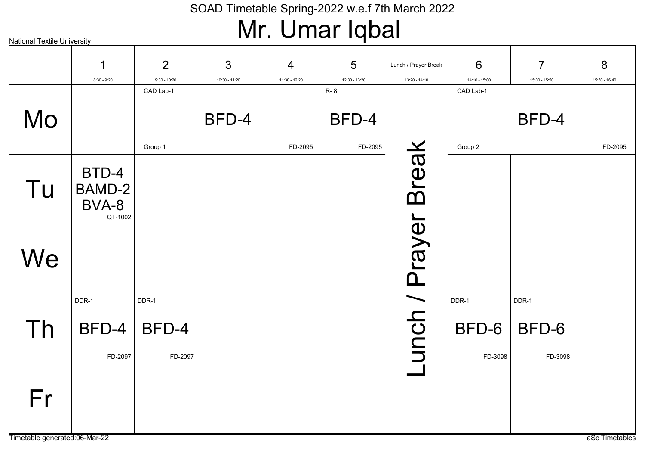### Mr. Umar Iqbal

| <b>National Textile University</b> |               |                |                 |               |                     |                      |               |                |                |
|------------------------------------|---------------|----------------|-----------------|---------------|---------------------|----------------------|---------------|----------------|----------------|
|                                    | $\mathbf 1$   | $\overline{2}$ | 3               | 4             | $5\phantom{.0}$     | Lunch / Prayer Break | 6             | $\overline{7}$ | 8              |
|                                    | $8:30 - 9:20$ | $9:30 - 10:20$ | $10:30 - 11:20$ | 11:30 - 12:20 | 12:30 - 13:20       | 13:20 - 14:10        | 14:10 - 15:00 | 15:00 - 15:50  | 15:50 - 16:40  |
| Mo                                 |               | CAD Lab-1      | BFD-4           |               | <b>R-8</b><br>BFD-4 |                      | CAD Lab-1     | BFD-4          |                |
|                                    |               |                |                 |               |                     |                      |               |                |                |
|                                    |               | Group 1        |                 | FD-2095       | FD-2095             |                      | Group 2       |                | FD-2095        |
|                                    | BTD-4         |                |                 |               |                     | <b>Break</b>         |               |                |                |
| Tu                                 | BAMD-2        |                |                 |               |                     |                      |               |                |                |
|                                    | BVA-8         |                |                 |               |                     |                      |               |                |                |
|                                    | QT-1002       |                |                 |               |                     |                      |               |                |                |
|                                    |               |                |                 |               |                     |                      |               |                |                |
|                                    |               |                |                 |               |                     |                      |               |                |                |
| We                                 |               |                |                 |               |                     |                      |               |                |                |
|                                    |               |                |                 |               |                     |                      |               |                |                |
|                                    | DDR-1         | DDR-1          |                 |               |                     |                      | DDR-1         | DDR-1          |                |
| Th                                 | BFD-4         | BFD-4          |                 |               |                     | unch / Prayer        | BFD-6         | BFD-6          |                |
|                                    |               |                |                 |               |                     |                      |               |                |                |
|                                    | FD-2097       | FD-2097        |                 |               |                     |                      | FD-3098       | FD-3098        |                |
|                                    |               |                |                 |               |                     |                      |               |                |                |
|                                    |               |                |                 |               |                     |                      |               |                |                |
| Fr                                 |               |                |                 |               |                     |                      |               |                |                |
|                                    |               |                |                 |               |                     |                      |               |                |                |
| Timetable generated:06-Mar-22      |               |                |                 |               |                     |                      |               |                | aSc Timetables |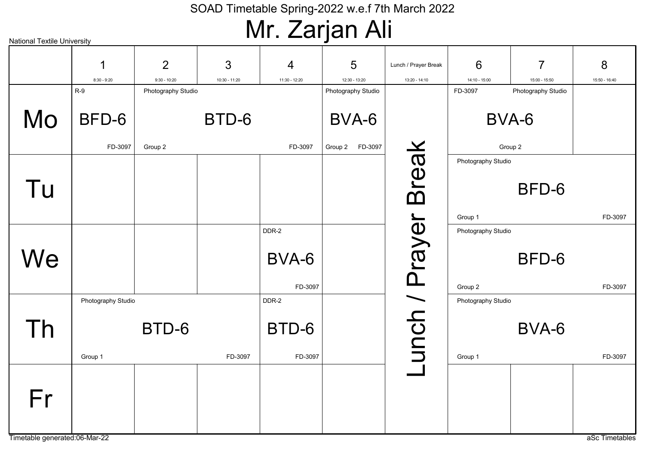# Mr. Zarjan Ali

| <b>National Textile University</b>  |                    |                    |               |                | <u> j  .</u>             |                      |                    |                    |                |
|-------------------------------------|--------------------|--------------------|---------------|----------------|--------------------------|----------------------|--------------------|--------------------|----------------|
|                                     | 1                  | $\overline{2}$     | 3             | $\overline{4}$ | 5                        | Lunch / Prayer Break | 6                  | $\overline{7}$     | 8              |
|                                     | $8:30 - 9:20$      | $9:30 - 10:20$     | 10:30 - 11:20 | 11:30 - 12:20  | 12:30 - 13:20            | 13:20 - 14:10        | 14:10 - 15:00      | 15:00 - 15:50      | 15:50 - 16:40  |
|                                     | $R-9$              | Photography Studio |               |                | Photography Studio       |                      | FD-3097            | Photography Studio |                |
| Mo                                  | BFD-6<br>FD-3097   | Group 2            | BTD-6         | FD-3097        | BVA-6<br>Group 2 FD-3097 |                      |                    | BVA-6<br>Group 2   |                |
|                                     |                    |                    |               |                |                          |                      |                    |                    |                |
| Tu                                  |                    |                    |               |                |                          | <b>Break</b>         | Photography Studio | BFD-6              |                |
|                                     |                    |                    |               |                |                          |                      | Group 1            |                    | FD-3097        |
| We                                  |                    |                    |               | DDR-2<br>BVA-6 |                          | unch / Prayer        | Photography Studio | BFD-6              |                |
|                                     |                    |                    |               | FD-3097        |                          |                      | Group 2            |                    | FD-3097        |
| Th                                  | Photography Studio | BTD-6              |               | DDR-2<br>BTD-6 |                          |                      | Photography Studio | BVA-6              |                |
|                                     |                    |                    |               |                |                          |                      |                    |                    |                |
|                                     | Group 1            |                    | FD-3097       | FD-3097        |                          |                      | Group 1            |                    | FD-3097        |
| Fr<br>Timetable generated:06-Mar-22 |                    |                    |               |                |                          |                      |                    |                    | aSc Timetables |
|                                     |                    |                    |               |                |                          |                      |                    |                    |                |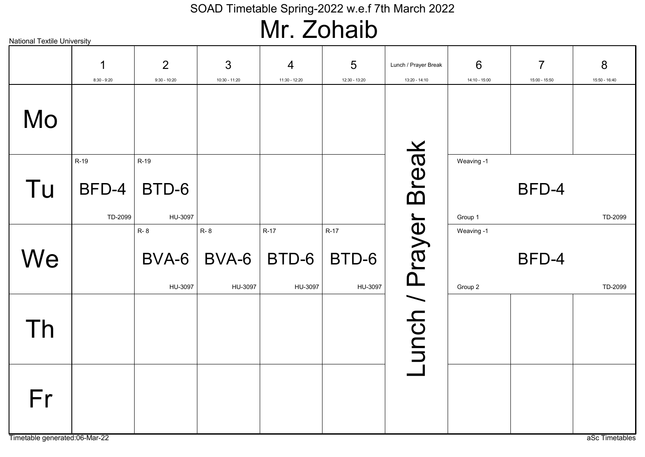# Mr. Zohaib

| <b>National Textile University</b>  |                          |                          |                                |                                 |                            |                                       |                       |                                 |                    |
|-------------------------------------|--------------------------|--------------------------|--------------------------------|---------------------------------|----------------------------|---------------------------------------|-----------------------|---------------------------------|--------------------|
|                                     | 1<br>$8:30 - 9:20$       | 2<br>$9:30 - 10:20$      | 3<br>10:30 - 11:20             | 4<br>11:30 - 12:20              | 5<br>12:30 - 13:20         | Lunch / Prayer Break<br>13:20 - 14:10 | 6<br>14:10 - 15:00    | $\overline{7}$<br>15:00 - 15:50 | 8<br>15:50 - 16:40 |
| Mo                                  |                          |                          |                                |                                 |                            |                                       |                       |                                 |                    |
| Tu                                  | R-19<br>BFD-4<br>TD-2099 | R-19<br>BTD-6<br>HU-3097 |                                |                                 |                            | Break                                 | Weaving -1<br>Group 1 | BFD-4                           | TD-2099            |
| We                                  |                          | R-8<br>BVA-6<br>HU-3097  | <b>R-8</b><br>BVA-6<br>HU-3097 | <b>R-17</b><br>BTD-6<br>HU-3097 | $R-17$<br>BTD-6<br>HU-3097 |                                       | Weaving -1<br>Group 2 | BFD-4                           | TD-2099            |
| Th                                  |                          |                          |                                |                                 |                            | unch / Prayer                         |                       |                                 |                    |
| Fr<br>Timetable generated:06-Mar-22 |                          |                          |                                |                                 |                            |                                       |                       |                                 |                    |
|                                     |                          |                          |                                |                                 |                            |                                       |                       |                                 | aSc Timetables     |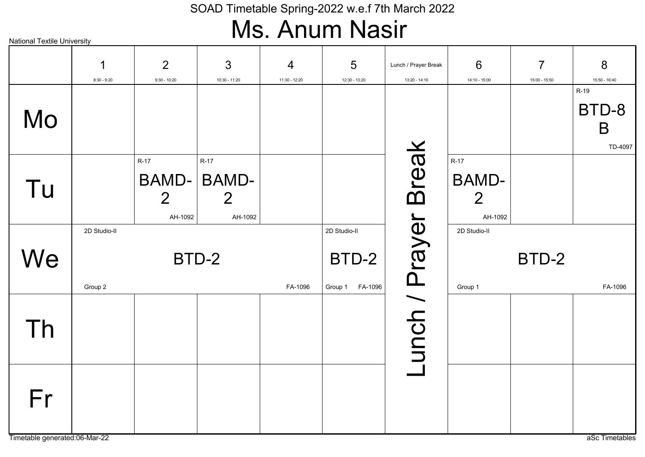### Ms. Anum Nasir

|    | 1<br>$8:30 - 9:20$      | $\overline{2}$<br>$9:30 - 10:20$                    | 3<br>10:30 - 11:20                                  | $\overline{4}$<br>11:30 - 12:20 | 5<br>12:30 - 13:20                          | Lunch / Prayer Break<br>13:20 - 14:10 | 6<br>14:10 - 15:00                                  | $\overline{7}$<br>15:00 - 15:50 | 8<br>15:50 - 16:40              |  |  |
|----|-------------------------|-----------------------------------------------------|-----------------------------------------------------|---------------------------------|---------------------------------------------|---------------------------------------|-----------------------------------------------------|---------------------------------|---------------------------------|--|--|
| Mo |                         |                                                     |                                                     |                                 |                                             |                                       |                                                     |                                 | $R-19$<br>BTD-8<br>B<br>TD-4097 |  |  |
| Tu |                         | $R-17$<br><b>BAMD-</b><br>$\overline{2}$<br>AH-1092 | $R-17$<br><b>BAMD-</b><br>$\overline{2}$<br>AH-1092 |                                 |                                             | <b>Lunch / Prayer Break</b>           | $R-17$<br><b>BAMD-</b><br>$\overline{2}$<br>AH-1092 |                                 |                                 |  |  |
| We | 2D Studio-II<br>Group 2 | BTD-2                                               |                                                     | FA-1096                         | 2D Studio-II<br>BTD-2<br>FA-1096<br>Group 1 |                                       | 2D Studio-II<br>BTD-2<br>FA-1096<br>Group 1         |                                 |                                 |  |  |
| Th |                         |                                                     |                                                     |                                 |                                             |                                       |                                                     |                                 |                                 |  |  |
| Fr |                         |                                                     |                                                     |                                 |                                             |                                       |                                                     |                                 |                                 |  |  |

Timetable generated:06-Mar-22 as a Sc Timetables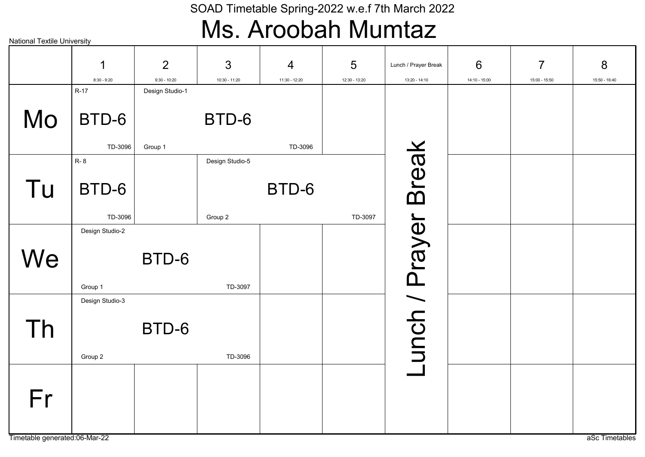### Ms. Aroobah Mumtaz

| <b>National Textile University</b>  |                            |                                  |                            |                    |                    |                                       |                    |                                 |                    |
|-------------------------------------|----------------------------|----------------------------------|----------------------------|--------------------|--------------------|---------------------------------------|--------------------|---------------------------------|--------------------|
|                                     | 1<br>$8:30 - 9:20$         | $\overline{2}$<br>$9:30 - 10:20$ | 3<br>10:30 - 11:20         | 4<br>11:30 - 12:20 | 5<br>12:30 - 13:20 | Lunch / Prayer Break<br>13:20 - 14:10 | 6<br>14:10 - 15:00 | $\overline{7}$<br>15:00 - 15:50 | 8<br>15:50 - 16:40 |
| Mo                                  | $R-17$<br>BTD-6<br>TD-3096 | Design Studio-1<br>Group 1       | BTD-6                      | TD-3096            |                    |                                       |                    |                                 |                    |
| Tu                                  | R-8<br>BTD-6<br>TD-3096    |                                  | Design Studio-5<br>Group 2 | BTD-6              | TD-3097            | <b>Break</b>                          |                    |                                 |                    |
| We                                  | Design Studio-2<br>Group 1 | BTD-6                            | TD-3097                    |                    |                    |                                       |                    |                                 |                    |
| Th                                  | Design Studio-3<br>Group 2 | BTD-6                            | TD-3096                    |                    |                    | unch / Prayer                         |                    |                                 |                    |
| Fr<br>Timetable generated:06-Mar-22 |                            |                                  |                            |                    |                    |                                       |                    |                                 | aSc Timetables     |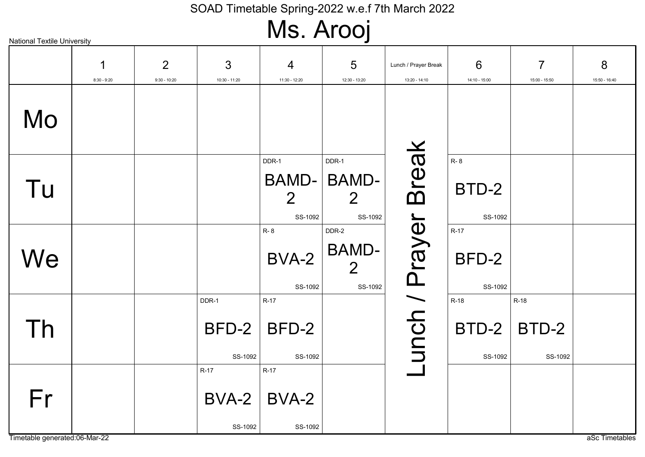Ms. Arooj

|                                     | 1<br>$8:30 - 9:20$ | $\overline{2}$<br>$9:30 - 10:20$ | 3<br>10:30 - 11:20           | 4<br>11:30 - 12:20                 | 5<br>12:30 - 13:20                                  | Lunch / Prayer Break<br>13:20 - 14:10 | 6<br>14:10 - 15:00             | $\overline{7}$<br>15:00 - 15:50 | 8<br>15:50 - 16:40 |
|-------------------------------------|--------------------|----------------------------------|------------------------------|------------------------------------|-----------------------------------------------------|---------------------------------------|--------------------------------|---------------------------------|--------------------|
| Mo                                  |                    |                                  |                              |                                    |                                                     |                                       |                                |                                 |                    |
| Tu                                  |                    |                                  |                              | DDR-1<br>$\overline{2}$<br>SS-1092 | DDR-1<br>BAMD-   BAMD-<br>$\overline{2}$<br>SS-1092 | <b>Break</b>                          | <b>R-8</b><br>BTD-2<br>SS-1092 |                                 |                    |
| We                                  |                    |                                  |                              | R-8<br>BVA-2<br>SS-1092            | DDR-2<br><b>BAMD-</b><br>$\overline{2}$<br>SS-1092  |                                       | $R-17$<br>BFD-2<br>SS-1092     |                                 |                    |
| Th                                  |                    |                                  | DDR-1<br>BFD-2<br>SS-1092    | $R-17$<br>BFD-2<br>SS-1092         |                                                     | unch / Prayer                         | R-18<br>BTD-2<br>SS-1092       | R-18<br>BTD-2<br>SS-1092        |                    |
| Fr<br>Timetable generated:06-Mar-22 |                    |                                  | $R-17$<br>$BVA-2$<br>SS-1092 | $R-17$<br>BVA-2<br>SS-1092         |                                                     |                                       |                                |                                 | aSc Timetables     |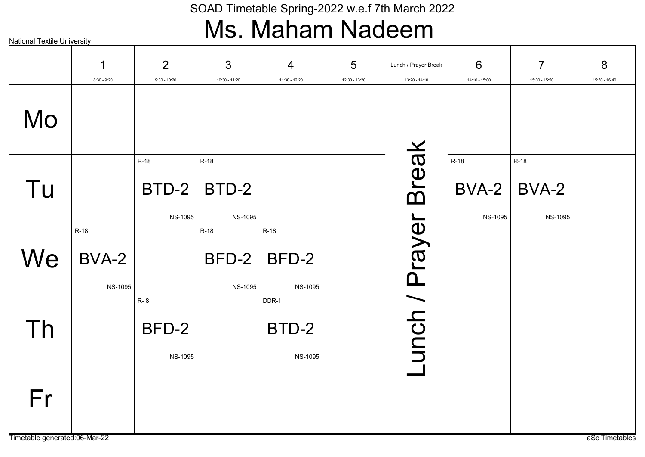### Ms. Maham Nadeem

|                               | 1              | 2              | $\mathfrak{S}$  | 4              | 5             | Lunch / Prayer Break        | 6              | $\overline{7}$ | 8              |
|-------------------------------|----------------|----------------|-----------------|----------------|---------------|-----------------------------|----------------|----------------|----------------|
|                               | $8:30 - 9:20$  | $9:30 - 10:20$ | $10:30 - 11:20$ | 11:30 - 12:20  | 12:30 - 13:20 | $13:20 - 14:10$             | 14:10 - 15:00  | 15:00 - 15:50  | 15:50 - 16:40  |
| Mo                            |                |                |                 |                |               |                             |                |                |                |
|                               |                |                |                 |                |               |                             |                |                |                |
|                               |                | R-18           | R-18            |                |               |                             | $R-18$         | R-18           |                |
| Tu                            |                | BTD-2          | BTD-2           |                |               | <b>Lunch / Prayer Break</b> | BVA-2          | BVA-2          |                |
|                               |                | <b>NS-1095</b> | <b>NS-1095</b>  |                |               |                             | <b>NS-1095</b> | <b>NS-1095</b> |                |
|                               | $R-18$         |                | $R-18$          | $R-18$         |               |                             |                |                |                |
| We                            | BVA-2          |                | BFD-2           | BFD-2          |               |                             |                |                |                |
|                               | <b>NS-1095</b> |                | <b>NS-1095</b>  | <b>NS-1095</b> |               |                             |                |                |                |
|                               |                | R-8            |                 | DDR-1          |               |                             |                |                |                |
| Th                            |                | BFD-2          |                 | BTD-2          |               |                             |                |                |                |
|                               |                | <b>NS-1095</b> |                 | <b>NS-1095</b> |               |                             |                |                |                |
|                               |                |                |                 |                |               |                             |                |                |                |
| Fr                            |                |                |                 |                |               |                             |                |                |                |
| Timetable generated:06-Mar-22 |                |                |                 |                |               |                             |                |                | aSc Timetables |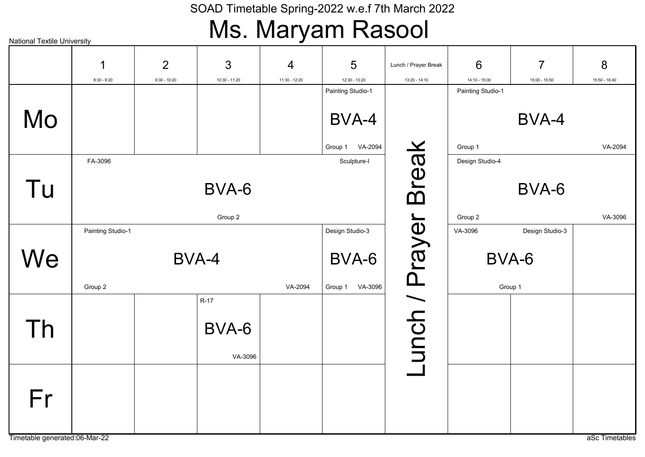### Ms. Maryam Rasool

|                               | 1                 | $\overline{2}$ | 3             | $\overline{4}$ | 5                                  | Lunch / Prayer Break | 6                                    | $\overline{7}$  | 8              |
|-------------------------------|-------------------|----------------|---------------|----------------|------------------------------------|----------------------|--------------------------------------|-----------------|----------------|
|                               | $8:30 - 9:20$     | $9:30 - 10:20$ | 10:30 - 11:20 | 11:30 - 12:20  | 12:30 - 13:20<br>Painting Studio-1 | 13:20 - 14:10        | $14:10 - 15:00$<br>Painting Studio-1 | 15:00 - 15:50   | 15:50 - 16:40  |
|                               |                   |                |               |                |                                    |                      |                                      |                 |                |
| Mo                            |                   |                |               |                | BVA-4                              |                      |                                      | BVA-4           |                |
|                               |                   |                |               |                |                                    |                      |                                      |                 |                |
|                               | FA-3096           |                |               |                | VA-2094<br>Group 1<br>Sculpture-I  |                      | Group 1<br>Design Studio-4           |                 | VA-2094        |
|                               |                   |                |               |                |                                    |                      |                                      |                 |                |
| Tu                            |                   |                | BVA-6         |                |                                    |                      |                                      | BVA-6           |                |
|                               |                   |                |               |                |                                    |                      |                                      |                 |                |
|                               | Painting Studio-1 |                | Group 2       |                | Design Studio-3                    |                      | Group 2<br>VA-3096                   | Design Studio-3 | VA-3096        |
|                               |                   |                |               |                |                                    |                      |                                      |                 |                |
| We                            |                   |                | BVA-4         |                | BVA-6                              |                      |                                      | BVA-6           |                |
|                               | Group 2           |                |               | VA-2094        | VA-3096<br>Group 1                 | -unch / Prayer Break |                                      | Group 1         |                |
|                               |                   |                | $R-17$        |                |                                    |                      |                                      |                 |                |
| Th                            |                   |                | BVA-6         |                |                                    |                      |                                      |                 |                |
|                               |                   |                |               |                |                                    |                      |                                      |                 |                |
|                               |                   |                | VA-3096       |                |                                    |                      |                                      |                 |                |
|                               |                   |                |               |                |                                    |                      |                                      |                 |                |
| Fr                            |                   |                |               |                |                                    |                      |                                      |                 |                |
|                               |                   |                |               |                |                                    |                      |                                      |                 |                |
| Timetable generated:06-Mar-22 |                   |                |               |                |                                    |                      |                                      |                 | aSc Timetables |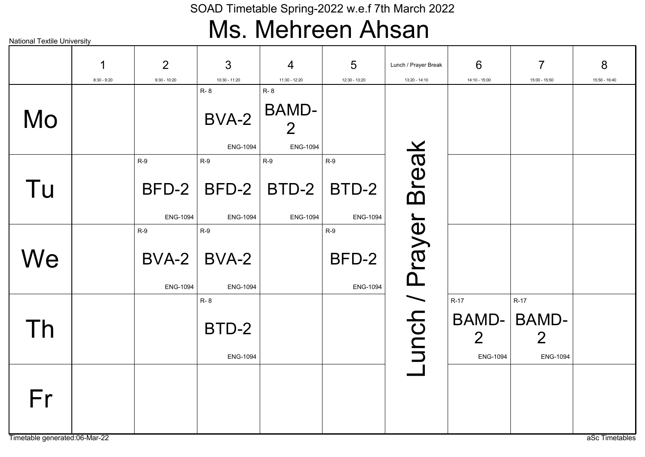### Ms. Mehreen Ahsan

|    | 1<br>$8:30 - 9:20$ | 2<br>$9:30 - 10:20$               | $\mathbf{3}$<br>10:30 - 11:20          | $\overline{4}$<br>11:30 - 12:20                                 | 5<br>12:30 - 13:20                | Lunch / Prayer Break<br>13:20 - 14:10 | 6<br>14:10 - 15:00                                   | $\overline{7}$<br>15:00 - 15:50                             | 8<br>15:50 - 16:40 |
|----|--------------------|-----------------------------------|----------------------------------------|-----------------------------------------------------------------|-----------------------------------|---------------------------------------|------------------------------------------------------|-------------------------------------------------------------|--------------------|
| Mo |                    |                                   | <b>R-8</b><br>BVA-2<br><b>ENG-1094</b> | <b>R-8</b><br><b>BAMD-</b><br>$\overline{2}$<br><b>ENG-1094</b> |                                   |                                       |                                                      |                                                             |                    |
| Tu |                    | $R-9$<br>BFD-2<br><b>ENG-1094</b> | $R-9$<br>$BFD-2$<br><b>ENG-1094</b>    | $R-9$<br>BTD-2<br><b>ENG-1094</b>                               | $R-9$<br>BTD-2<br><b>ENG-1094</b> | <b>Break</b>                          |                                                      |                                                             |                    |
| We |                    | $R-9$<br>BVA-2<br><b>ENG-1094</b> | $R-9$<br>BVA-2<br><b>ENG-1094</b>      |                                                                 | $R-9$<br>BFD-2<br><b>ENG-1094</b> |                                       |                                                      |                                                             |                    |
| Th |                    |                                   | R-8<br>BTD-2<br><b>ENG-1094</b>        |                                                                 |                                   | unch / Prayer                         | $R-17$<br>BAMD-<br>$\overline{2}$<br><b>ENG-1094</b> | $R-17$<br><b>BAMD-</b><br>$\overline{2}$<br><b>ENG-1094</b> |                    |
| Fr |                    |                                   |                                        |                                                                 |                                   |                                       |                                                      |                                                             |                    |

Timetable generated:06-Mar-22 as and the set of the set of the set of the set of the set of the set of the set of the set of the set of the set of the set of the set of the set of the set of the set of the set of the set o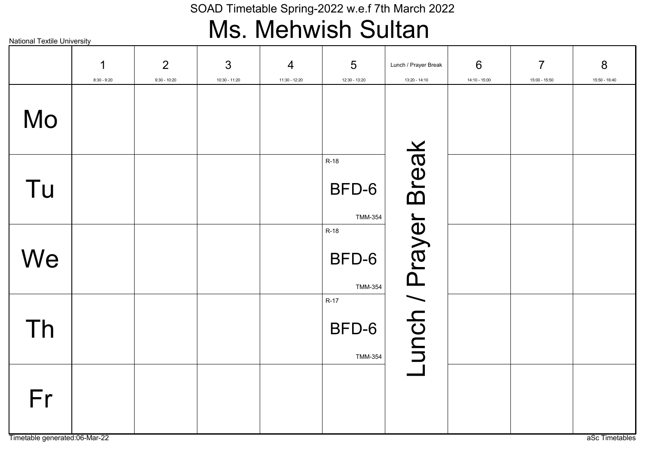### Ms. Mehwish Sultan

|    | 1<br>$8:30 - 9:20$ | 2<br>$9:30 - 10:20$ | 3<br>$10:30 - 11:20$ | $\overline{4}$<br>11:30 - 12:20 | $5\phantom{1}$<br>12:30 - 13:20   | Lunch / Prayer Break<br>13:20 - 14:10 | 6<br>14:10 - 15:00 | $\overline{7}$<br>15:00 - 15:50 | 8<br>15:50 - 16:40 |
|----|--------------------|---------------------|----------------------|---------------------------------|-----------------------------------|---------------------------------------|--------------------|---------------------------------|--------------------|
| Mo |                    |                     |                      |                                 |                                   |                                       |                    |                                 |                    |
| Tu |                    |                     |                      |                                 | R-18<br>BFD-6<br><b>TMM-354</b>   | Lunch / Prayer Break                  |                    |                                 |                    |
| We |                    |                     |                      |                                 | R-18<br>BFD-6<br><b>TMM-354</b>   |                                       |                    |                                 |                    |
| Th |                    |                     |                      |                                 | $R-17$<br>BFD-6<br><b>TMM-354</b> |                                       |                    |                                 |                    |
| Fr |                    |                     |                      |                                 |                                   |                                       |                    |                                 |                    |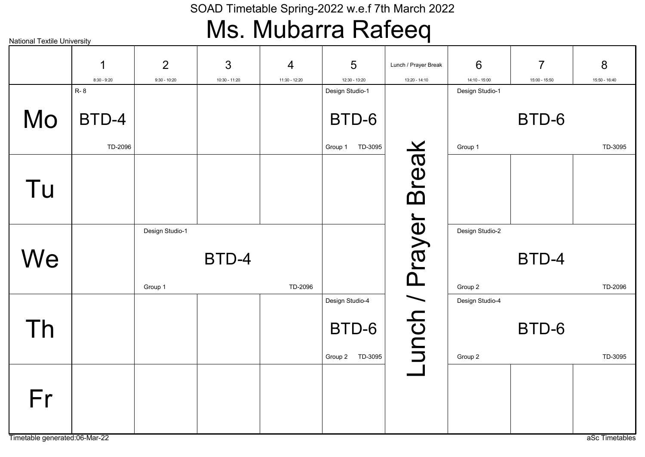### Ms. Mubarra Rafeeq

| <b>National Textile University</b> |                             |                            |               |                |                                  | 71                   |                                    |                |               |
|------------------------------------|-----------------------------|----------------------------|---------------|----------------|----------------------------------|----------------------|------------------------------------|----------------|---------------|
|                                    | 1                           | $\overline{2}$             | $\mathbf{3}$  | $\overline{4}$ | 5                                | Lunch / Prayer Break | 6                                  | $\overline{7}$ | 8             |
|                                    | $8:30 - 9:20$<br><b>R-8</b> | $9:30 - 10:20$             | 10:30 - 11:20 | 11:30 - 12:20  | 12:30 - 13:20<br>Design Studio-1 | $13:20 - 14:10$      | $14:10 - 15:00$<br>Design Studio-1 | 15:00 - 15:50  | 15:50 - 16:40 |
| Mo                                 | BTD-4                       |                            |               |                | BTD-6                            |                      |                                    | BTD-6          |               |
|                                    | TD-2096                     |                            |               |                | TD-3095<br>Group 1               |                      | Group 1                            |                | TD-3095       |
| Tu                                 |                             |                            |               |                |                                  | -unch / Prayer Break |                                    |                |               |
| We                                 |                             | Design Studio-1<br>Group 1 | BTD-4         | TD-2096        |                                  |                      | Design Studio-2<br>Group 2         | BTD-4          | TD-2096       |
|                                    |                             |                            |               |                | Design Studio-4                  |                      | Design Studio-4                    |                |               |
| Th                                 |                             |                            |               |                | BTD-6                            |                      |                                    | BTD-6          |               |
|                                    |                             |                            |               |                | Group 2 TD-3095                  |                      | Group 2                            |                | TD-3095       |
| Fr                                 |                             |                            |               |                |                                  |                      |                                    |                |               |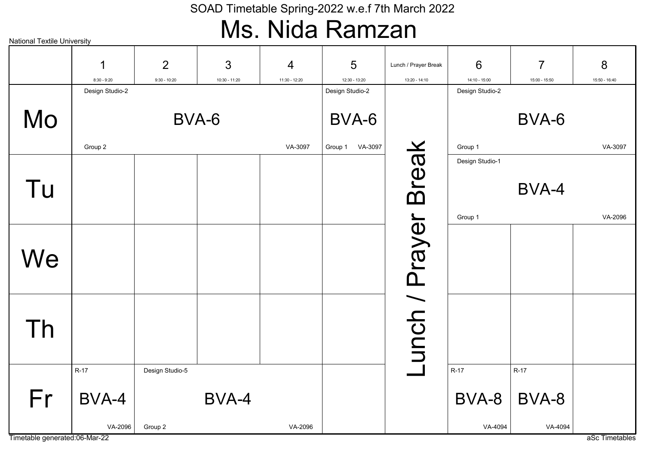### SOAD Timetable Spring-2022 w.e.f 7th March 2022 Ms. Nida Ramzan

| <b>National Textile University</b> |                    |                                  |                      |                                 |                    |                                       |                    |                                 |                    |
|------------------------------------|--------------------|----------------------------------|----------------------|---------------------------------|--------------------|---------------------------------------|--------------------|---------------------------------|--------------------|
|                                    | 1<br>$8:30 - 9:20$ | $\overline{2}$<br>$9:30 - 10:20$ | 3<br>$10:30 - 11:20$ | $\overline{4}$<br>11:30 - 12:20 | 5<br>12:30 - 13:20 | Lunch / Prayer Break<br>13:20 - 14:10 | 6<br>14:10 - 15:00 | $\overline{7}$<br>15:00 - 15:50 | 8<br>15:50 - 16:40 |
|                                    | Design Studio-2    |                                  |                      |                                 | Design Studio-2    |                                       | Design Studio-2    |                                 |                    |
| Mo                                 |                    |                                  | BVA-6                |                                 | BVA-6              |                                       |                    | BVA-6                           |                    |
|                                    | Group 2            |                                  |                      | VA-3097                         | VA-3097<br>Group 1 |                                       | Group 1            |                                 | VA-3097            |
| Tu                                 |                    |                                  |                      |                                 |                    |                                       | Design Studio-1    | BVA-4                           |                    |
|                                    |                    |                                  |                      |                                 |                    |                                       | Group 1            |                                 | VA-2096            |
| We                                 |                    |                                  |                      |                                 |                    | Lunch / Prayer Break                  |                    |                                 |                    |
| Th                                 |                    |                                  |                      |                                 |                    |                                       |                    |                                 |                    |
|                                    | $R-17$             | Design Studio-5                  |                      |                                 |                    |                                       | $R-17$             | $R-17$                          |                    |
| Fr                                 | BVA-4              |                                  | BVA-4                |                                 |                    |                                       | BVA-8              | BVA-8                           |                    |
|                                    | VA-2096            | Group 2                          |                      | VA-2096                         |                    |                                       | VA-4094            | VA-4094                         |                    |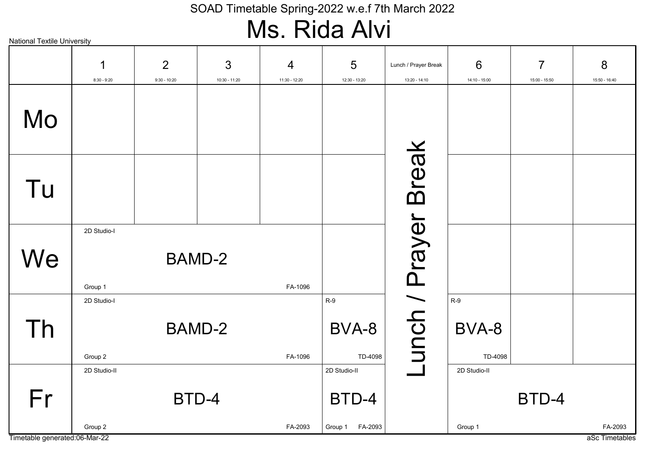### Ms. Rida Alvi

|    | 1<br>$8:30 - 9:20$      | $\overline{2}$<br>$9:30 - 10:20$ | 3<br>10:30 - 11:20 | $\overline{4}$<br>11:30 - 12:20 | 5<br>12:30 - 13:20                          | Lunch / Prayer Break<br>13:20 - 14:10 | 6<br>14:10 - 15:00        | $\overline{7}$<br>15:00 - 15:50 | 8<br>15:50 - 16:40 |
|----|-------------------------|----------------------------------|--------------------|---------------------------------|---------------------------------------------|---------------------------------------|---------------------------|---------------------------------|--------------------|
| Mo |                         |                                  |                    |                                 |                                             |                                       |                           |                                 |                    |
| Tu |                         |                                  |                    |                                 |                                             |                                       |                           |                                 |                    |
| We | 2D Studio-I<br>Group 1  |                                  | <b>BAMD-2</b>      | FA-1096                         |                                             |                                       |                           |                                 |                    |
| Th | 2D Studio-I<br>Group 2  | <b>BAMD-2</b>                    |                    | FA-1096                         | $R-9$<br>BVA-8<br>TD-4098                   | -unch / Prayer Break                  | $R-9$<br>BVA-8<br>TD-4098 |                                 |                    |
| Fr | 2D Studio-II<br>Group 2 |                                  | BTD-4              | FA-2093                         | 2D Studio-II<br>BTD-4<br>FA-2093<br>Group 1 |                                       | 2D Studio-II<br>Group 1   | BTD-4                           | FA-2093            |

Timetable generated:06-Mar-22 as a Sc Timetables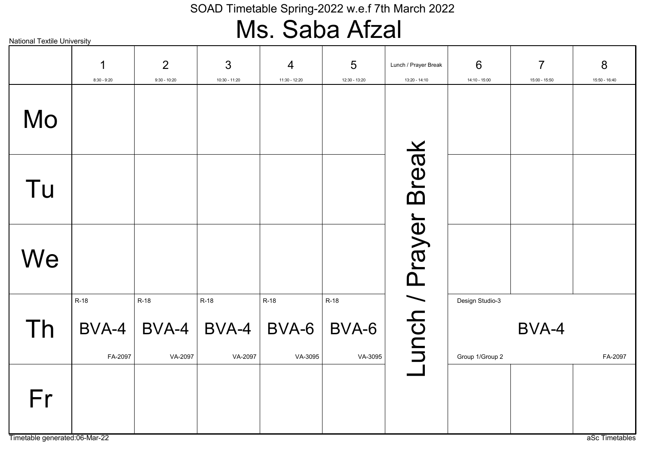### Ms. Saba Afzal

|                                     | $\mathbf 1$<br>$8:30 - 9:20$ | 2<br>$9:30 - 10:20$        | 3<br>10:30 - 11:20         | 4<br>11:30 - 12:20       | 5<br>12:30 - 13:20         | Lunch / Prayer Break<br>$13:20 - 14:10$ | 6<br>14:10 - 15:00                 | $\overline{7}$<br>15:00 - 15:50 | 8<br>15:50 - 16:40 |
|-------------------------------------|------------------------------|----------------------------|----------------------------|--------------------------|----------------------------|-----------------------------------------|------------------------------------|---------------------------------|--------------------|
| Mo                                  |                              |                            |                            |                          |                            |                                         |                                    |                                 |                    |
| Tu                                  |                              |                            |                            |                          |                            |                                         |                                    |                                 |                    |
| We                                  |                              |                            |                            |                          |                            |                                         |                                    |                                 |                    |
| Th                                  | $R-18$<br>BVA-4<br>FA-2097   | $R-18$<br>BVA-4<br>VA-2097 | $R-18$<br>BVA-4<br>VA-2097 | R-18<br>BVA-6<br>VA-3095 | $R-18$<br>BVA-6<br>VA-3095 | unch / Prayer Break                     | Design Studio-3<br>Group 1/Group 2 | BVA-4                           | FA-2097            |
| Fr<br>Timetable generated:06-Mar-22 |                              |                            |                            |                          |                            |                                         |                                    |                                 | aSc Timetables     |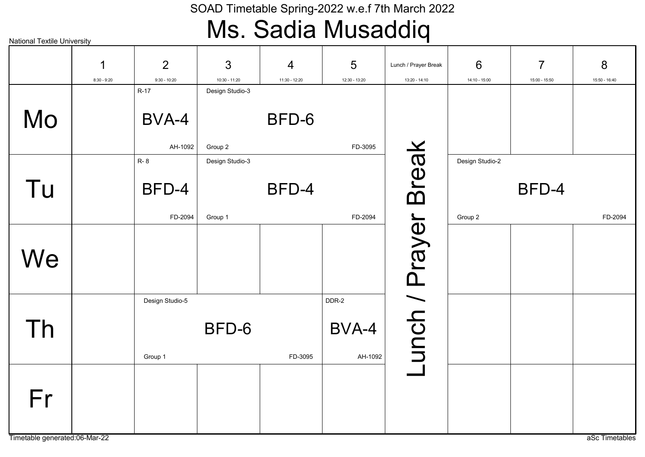### Ms. Sadia Musaddiq

| <b>National Textile University</b>  |                    |                                  |                            |                    |                           |                                       |                            |                                 |                    |
|-------------------------------------|--------------------|----------------------------------|----------------------------|--------------------|---------------------------|---------------------------------------|----------------------------|---------------------------------|--------------------|
|                                     | 1<br>$8:30 - 9:20$ | $\overline{2}$<br>$9:30 - 10:20$ | 3<br>$10:30 - 11:20$       | 4<br>11:30 - 12:20 | 5<br>12:30 - 13:20        | Lunch / Prayer Break<br>13:20 - 14:10 | 6<br>$14:10 - 15:00$       | $\overline{7}$<br>15:00 - 15:50 | 8<br>15:50 - 16:40 |
| Mo                                  |                    | $R-17$<br>BVA-4<br>AH-1092       | Design Studio-3<br>Group 2 | BFD-6              | FD-3095                   |                                       |                            |                                 |                    |
| Tu                                  |                    | <b>R-8</b><br>BFD-4<br>FD-2094   | Design Studio-3<br>Group 1 | BFD-4              | FD-2094                   | <b>Break</b>                          | Design Studio-2<br>Group 2 | BFD-4                           | FD-2094            |
| We                                  |                    |                                  |                            |                    |                           |                                       |                            |                                 |                    |
| Th                                  |                    | Design Studio-5<br>Group 1       | BFD-6                      | FD-3095            | DDR-2<br>BVA-4<br>AH-1092 | unch / Prayer                         |                            |                                 |                    |
| Fr<br>Timetable generated:06-Mar-22 |                    |                                  |                            |                    |                           |                                       |                            |                                 | aSc Timetables     |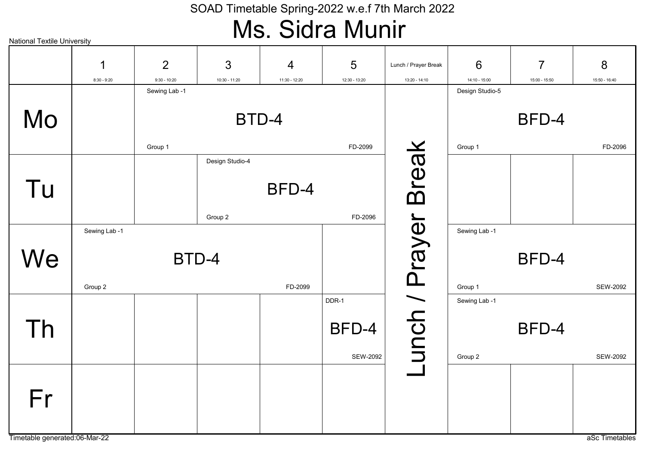### SOAD Timetable Spring-2022 w.e.f 7th March 2022 Ms. Sidra Munir

| <b>National Textile University</b> |               |                                 |                 |                | <b>.</b>        |                      |                                  |                |                 |
|------------------------------------|---------------|---------------------------------|-----------------|----------------|-----------------|----------------------|----------------------------------|----------------|-----------------|
|                                    | 1             | $\overline{2}$                  | 3               | $\overline{4}$ | 5               | Lunch / Prayer Break | 6                                | $\overline{7}$ | 8               |
|                                    | $8:30 - 9:20$ | $9:30 - 10:20$<br>Sewing Lab -1 | 10:30 - 11:20   | 11:30 - 12:20  | 12:30 - 13:20   | 13:20 - 14:10        | 14:10 - 15:00<br>Design Studio-5 | 15:00 - 15:50  | 15:50 - 16:40   |
|                                    |               |                                 |                 |                |                 |                      |                                  |                |                 |
| Mo                                 |               |                                 |                 | BTD-4          |                 |                      |                                  | BFD-4          |                 |
|                                    |               | Group 1                         |                 |                | FD-2099         |                      | Group 1                          |                | FD-2096         |
|                                    |               |                                 | Design Studio-4 |                |                 | <b>Break</b>         |                                  |                |                 |
|                                    |               |                                 |                 |                |                 |                      |                                  |                |                 |
| Tu                                 |               |                                 |                 | BFD-4          |                 |                      |                                  |                |                 |
|                                    |               |                                 |                 |                |                 |                      |                                  |                |                 |
|                                    |               |                                 | Group 2         |                | FD-2096         |                      |                                  |                |                 |
|                                    | Sewing Lab -1 |                                 |                 |                |                 |                      | Sewing Lab -1                    |                |                 |
| We                                 |               | BTD-4                           |                 |                |                 |                      |                                  | BFD-4          |                 |
|                                    |               |                                 |                 |                |                 |                      |                                  |                |                 |
|                                    | Group 2       |                                 |                 | FD-2099        |                 |                      | Group 1                          |                | <b>SEW-2092</b> |
|                                    |               |                                 |                 |                | DDR-1           |                      | Sewing Lab -1                    |                |                 |
|                                    |               |                                 |                 |                |                 |                      |                                  |                |                 |
| Th                                 |               |                                 |                 |                | BFD-4           |                      |                                  | BFD-4          |                 |
|                                    |               |                                 |                 |                | <b>SEW-2092</b> | unch / Prayer        | Group 2                          |                | <b>SEW-2092</b> |
|                                    |               |                                 |                 |                |                 |                      |                                  |                |                 |
|                                    |               |                                 |                 |                |                 |                      |                                  |                |                 |
| Fr                                 |               |                                 |                 |                |                 |                      |                                  |                |                 |
|                                    |               |                                 |                 |                |                 |                      |                                  |                |                 |
| Timetable generated:06-Mar-22      |               |                                 |                 |                |                 |                      |                                  |                | aSc Timetables  |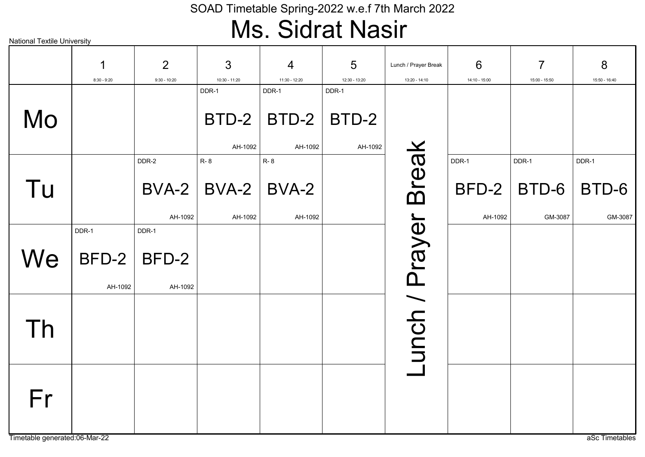### SOAD Timetable Spring-2022 w.e.f 7th March 2022 Ms. Sidrat Nasir

| <b>National Textile University</b>  |                    |                     |                         |                                 |                    |                                       |                    |                                 |                    |
|-------------------------------------|--------------------|---------------------|-------------------------|---------------------------------|--------------------|---------------------------------------|--------------------|---------------------------------|--------------------|
|                                     | 1<br>$8:30 - 9:20$ | 2<br>$9:30 - 10:20$ | 3<br>10:30 - 11:20      | $\overline{4}$<br>11:30 - 12:20 | 5<br>12:30 - 13:20 | Lunch / Prayer Break<br>13:20 - 14:10 | 6<br>14:10 - 15:00 | $\overline{7}$<br>15:00 - 15:50 | 8<br>15:50 - 16:40 |
|                                     |                    |                     | DDR-1                   | DDR-1                           | DDR-1              |                                       |                    |                                 |                    |
| Mo                                  |                    |                     | $BTD-2$                 | BTD-2                           | BTD-2              |                                       |                    |                                 |                    |
|                                     |                    |                     | AH-1092                 | AH-1092                         | AH-1092            |                                       |                    |                                 |                    |
|                                     |                    | DDR-2               | <b>R-8</b>              | <b>R-8</b>                      |                    | <b>Break</b>                          | DDR-1              | DDR-1                           | DDR-1              |
| Tu                                  |                    |                     | $BVA-2$   BVA-2   BVA-2 |                                 |                    |                                       |                    | $BFD-2$ $BTD-6$                 | BTD-6              |
|                                     |                    | AH-1092             | AH-1092                 | AH-1092                         |                    |                                       | AH-1092            | GM-3087                         | GM-3087            |
|                                     | DDR-1              | DDR-1               |                         |                                 |                    |                                       |                    |                                 |                    |
| We                                  | $BFD-2$            | BFD-2               |                         |                                 |                    |                                       |                    |                                 |                    |
|                                     | AH-1092            | AH-1092             |                         |                                 |                    |                                       |                    |                                 |                    |
| Th                                  |                    |                     |                         |                                 |                    | unch / Prayer                         |                    |                                 |                    |
| Fr<br>Timetable generated:06-Mar-22 |                    |                     |                         |                                 |                    |                                       |                    |                                 | aSc Timetables     |
|                                     |                    |                     |                         |                                 |                    |                                       |                    |                                 |                    |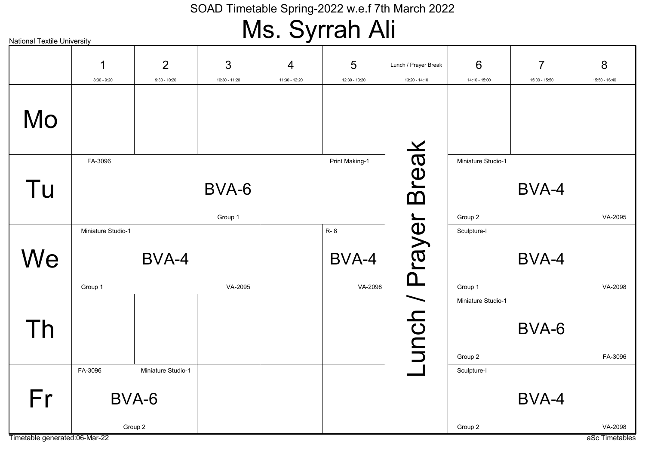# Ms. Syrrah Ali

| <b>National Textile University</b> |                    |                    |               | . <del>.</del> .<br>$\boldsymbol{J}$ | .<br>.           |                      |                    |                |                |
|------------------------------------|--------------------|--------------------|---------------|--------------------------------------|------------------|----------------------|--------------------|----------------|----------------|
|                                    | 1                  | $\overline{2}$     | 3             | 4                                    | 5                | Lunch / Prayer Break | 6                  | $\overline{7}$ | 8              |
|                                    | $8:30 - 9:20$      | $9:30 - 10:20$     | 10:30 - 11:20 | 11:30 - 12:20                        | 12:30 - 13:20    | 13:20 - 14:10        | 14:10 - 15:00      | 15:00 - 15:50  | 15:50 - 16:40  |
| Mo                                 |                    |                    |               |                                      |                  |                      |                    |                |                |
|                                    | FA-3096            |                    |               |                                      | Print Making-1   |                      | Miniature Studio-1 |                |                |
| Tu                                 |                    |                    | BVA-6         |                                      |                  | <b>Break</b>         |                    | BVA-4          |                |
|                                    |                    |                    | Group 1       |                                      |                  |                      | Group 2            |                | VA-2095        |
|                                    | Miniature Studio-1 |                    |               |                                      | R-8              |                      | Sculpture-I        |                |                |
| We                                 | Group 1            | BVA-4              | VA-2095       |                                      | BVA-4<br>VA-2098 |                      | Group 1            | BVA-4          | VA-2098        |
|                                    |                    |                    |               |                                      |                  |                      | Miniature Studio-1 |                |                |
| Th                                 |                    |                    |               |                                      |                  | unch / Prayer        | Group 2            | BVA-6          | FA-3096        |
|                                    | FA-3096            | Miniature Studio-1 |               |                                      |                  |                      | Sculpture-I        |                |                |
| Fr                                 |                    | BVA-6              |               |                                      |                  |                      |                    | BVA-4          |                |
|                                    |                    | Group 2            |               |                                      |                  |                      | Group 2            |                | VA-2098        |
| Timetable generated:06-Mar-22      |                    |                    |               |                                      |                  |                      |                    |                | aSc Timetables |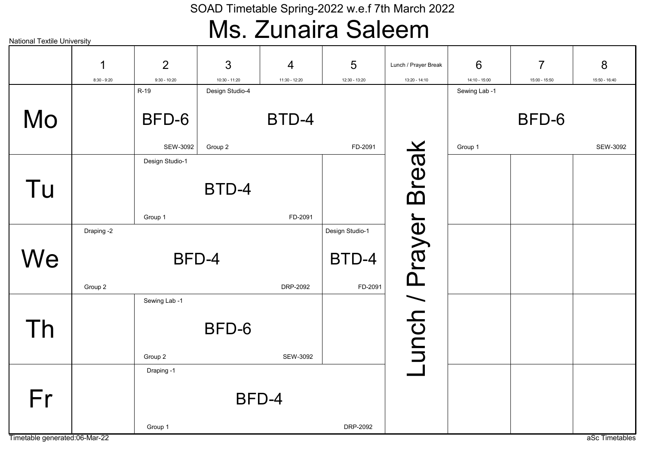### Ms. Zunaira Saleem

| <b>National Textile University</b> |               |                        |                                    |                |                 |                      |                                  |                |                |
|------------------------------------|---------------|------------------------|------------------------------------|----------------|-----------------|----------------------|----------------------------------|----------------|----------------|
|                                    | 1             | $\overline{2}$         | 3                                  | $\overline{4}$ | 5               | Lunch / Prayer Break | 6                                | $\overline{7}$ | 8              |
|                                    | $8:30 - 9:20$ | $9:30 - 10:20$<br>R-19 | $10:30 - 11:20$<br>Design Studio-4 | 11:30 - 12:20  | 12:30 - 13:20   | 13:20 - 14:10        | $14:10 - 15:00$<br>Sewing Lab -1 | 15:00 - 15:50  | 15:50 - 16:40  |
|                                    |               |                        |                                    |                |                 |                      |                                  |                |                |
| Mo                                 |               | BFD-6                  |                                    | BTD-4          |                 |                      |                                  | BFD-6          |                |
|                                    |               | SEW-3092               | Group 2                            |                | FD-2091         | <b>Break</b>         | Group 1                          |                | SEW-3092       |
|                                    |               | Design Studio-1        |                                    |                |                 |                      |                                  |                |                |
|                                    |               |                        |                                    |                |                 |                      |                                  |                |                |
| Tu                                 |               |                        | BTD-4                              |                |                 |                      |                                  |                |                |
|                                    |               |                        |                                    |                |                 |                      |                                  |                |                |
|                                    |               | Group 1                |                                    | FD-2091        |                 |                      |                                  |                |                |
|                                    | Draping -2    |                        |                                    |                | Design Studio-1 |                      |                                  |                |                |
| We                                 |               |                        | BFD-4                              |                | BTD-4           | unch / Prayer        |                                  |                |                |
|                                    |               |                        |                                    |                |                 |                      |                                  |                |                |
|                                    | Group 2       |                        |                                    | DRP-2092       | FD-2091         |                      |                                  |                |                |
|                                    |               | Sewing Lab -1          |                                    |                |                 |                      |                                  |                |                |
|                                    |               |                        |                                    |                |                 |                      |                                  |                |                |
| Th                                 |               |                        | BFD-6                              |                |                 |                      |                                  |                |                |
|                                    |               | Group 2                |                                    | SEW-3092       |                 |                      |                                  |                |                |
|                                    |               | Draping -1             |                                    |                |                 |                      |                                  |                |                |
|                                    |               |                        |                                    |                |                 |                      |                                  |                |                |
| Fr                                 |               |                        | BFD-4                              |                |                 |                      |                                  |                |                |
|                                    |               |                        |                                    |                |                 |                      |                                  |                |                |
|                                    |               | Group 1                |                                    |                | DRP-2092        |                      |                                  |                |                |
| Timetable generated:06-Mar-22      |               |                        |                                    |                |                 |                      |                                  |                | aSc Timetables |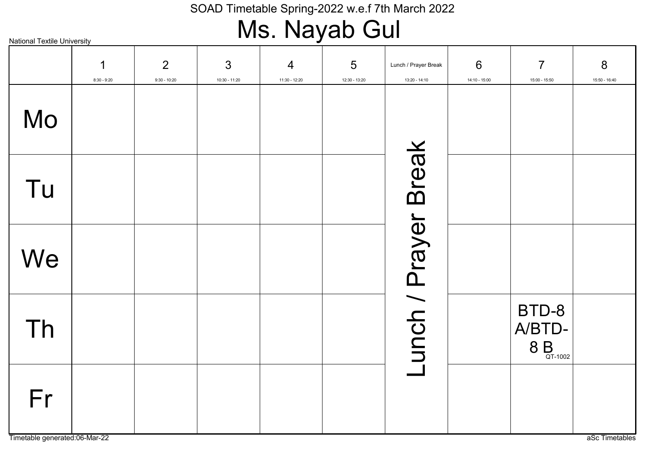# Ms. Nayab Gul

|    | $\mathbf 1$<br>$8:30 - 9:20$ | $\overline{2}$<br>$9:30 - 10:20$ | 3<br>$10:30 - 11:20$ | $\overline{4}$<br>11:30 - 12:20 | $5\phantom{1}$<br>12:30 - 13:20 | Lunch / Prayer Break<br>$13:20 - 14:10$ | $6\phantom{1}6$<br>14:10 - 15:00 | $\overline{7}$<br>15:00 - 15:50                              | 8<br>15:50 - 16:40 |
|----|------------------------------|----------------------------------|----------------------|---------------------------------|---------------------------------|-----------------------------------------|----------------------------------|--------------------------------------------------------------|--------------------|
| Mo |                              |                                  |                      |                                 |                                 |                                         |                                  |                                                              |                    |
| Tu |                              |                                  |                      |                                 |                                 |                                         |                                  |                                                              |                    |
| We |                              |                                  |                      |                                 |                                 |                                         |                                  |                                                              |                    |
| Th |                              |                                  |                      |                                 |                                 | Lunch / Prayer Break                    |                                  | BTD-8<br>A/BTD-<br>$8 B_{\scriptscriptstyle \text{QT-1002}}$ |                    |
| Fr |                              |                                  |                      |                                 |                                 |                                         |                                  |                                                              |                    |

Timetable generated:06-Mar-22 as and the set of the set of the set of the set of the set of the set of the set of the set of the set of the set of the set of the set of the set of the set of the set of the set of the set o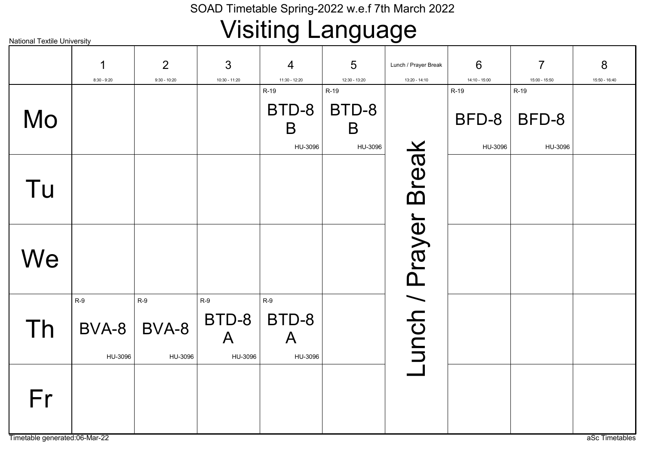# Visiting Language

|                                     | 1<br>$8:30 - 9:20$        | $\overline{2}$<br>$9:30 - 10:20$ | 3<br>10:30 - 11:20                          | 4<br>11:30 - 12:20                        | 5<br>12:30 - 13:20            | Lunch / Prayer Break<br>13:20 - 14:10 | 6<br>14:10 - 15:00       | $\overline{7}$<br>15:00 - 15:50 | 8<br>15:50 - 16:40 |
|-------------------------------------|---------------------------|----------------------------------|---------------------------------------------|-------------------------------------------|-------------------------------|---------------------------------------|--------------------------|---------------------------------|--------------------|
| Mo                                  |                           |                                  |                                             | R-19<br>BTD-8<br>B<br>HU-3096             | R-19<br>BTD-8<br>B<br>HU-3096 |                                       | R-19<br>BFD-8<br>HU-3096 | R-19<br>BFD-8<br>HU-3096        |                    |
| Tu                                  |                           |                                  |                                             |                                           |                               |                                       |                          |                                 |                    |
| We                                  |                           |                                  |                                             |                                           |                               |                                       |                          |                                 |                    |
| Th                                  | $R-9$<br>BVA-8<br>HU-3096 | $R-9$<br>BVA-8<br>HU-3096        | $R-9$<br>$BTD-8$<br>$\mathsf{A}$<br>HU-3096 | $R-9$<br>BTD-8<br>$\mathsf{A}$<br>HU-3096 |                               | -unch / Prayer Break                  |                          |                                 |                    |
| Fr<br>Timetable generated:06-Mar-22 |                           |                                  |                                             |                                           |                               |                                       |                          |                                 | aSc Timetables     |